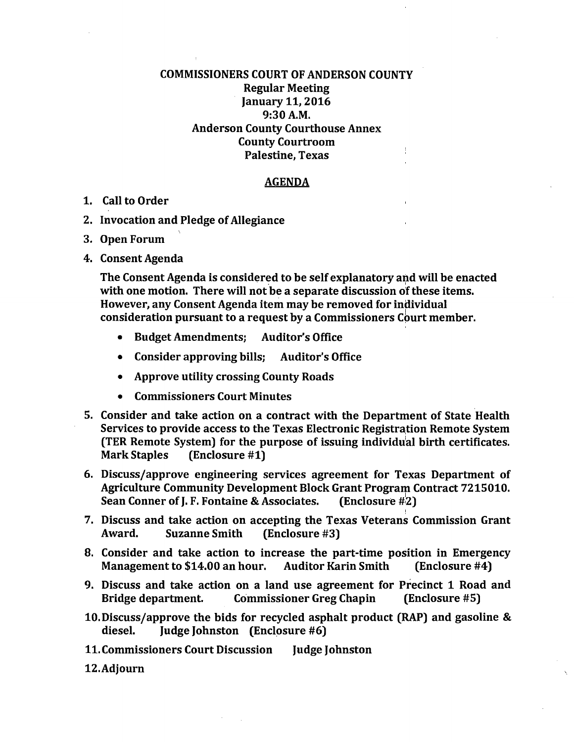## COMMISSIONERS COURT OF ANDERSON COUNTY Regular Meeting January 11, 2016 9:30A.M. Anderson County Courthouse Annex County Courtroom  $\frac{1}{4}$ Palestine, Texas

## AGENDA

- 1. Call to Order
- 2. Invocation and Pledge of Allegiance
- 3. Open Forum
- 4. Consent Agenda

The Consent Agenda is considered to be self explanatory and will be enacted with one motion. There will not be a separate discussion of these items. However, any Consent Agenda item may be removed for individual <sup>I</sup> consideration pursuant to a request by a Commissioners Court member.

- Budget Amendments; Auditor's Office
- Consider approving bills; Auditor's Office
- Approve utility crossing County Roads
- Commissioners Court Minutes
- 5. Consider and take action on a contract with the Department of State Health Services to provide access to the Texas Electronic Registration Remote System (TER Remote System) for the purpose of issuing individu'al birth certificates. Mark Staples (Enclosure #1)
- 6. Discuss/approve engineering services agreement for Texas Department of Agriculture Community Development Block Grant Program Contract 7215010. Sean Conner of J. F. Fontaine & Associates. (Enclosure #2)
- 7. Discuss and take action on accepting the Texas Veterans Commission Grant Award. Suzanne Smith (Enclosure #3)

I

- 8. Consider and take action to increase the part-time position in Emergency Management to \$14.00 an hour. Auditor Karin Smith (Enclosure #4)
- 9. Discuss and take action on a land use agreement for Precinct 1 Road and Bridge department. Commissioner Greg Chapin (Enclosure #5)
- 10. Discuss/approve the bids for recycled asphalt product (RAP) and gasoline & diesel. Judge Johnston (Enclosure #6)
- 11. Commissioners Court Discussion Judge Johnston
- 12.Adjourn